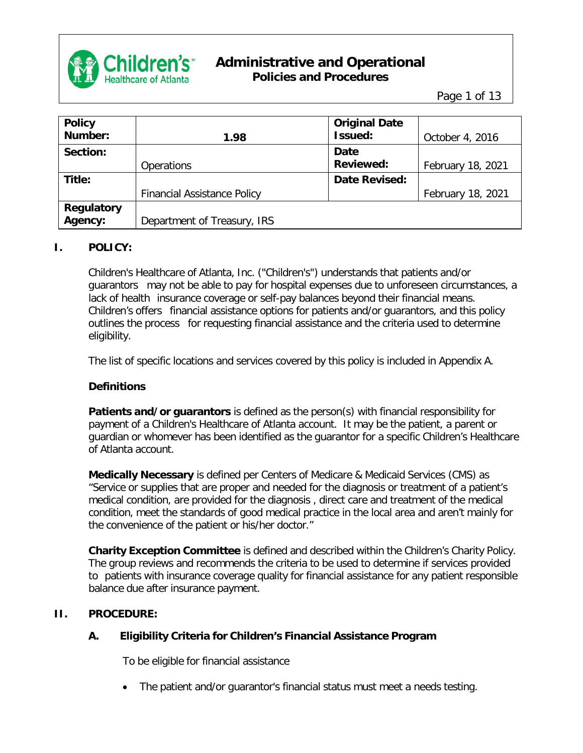

Page 1 of 13

| <b>Policy</b>     |                                    | <b>Original Date</b> |                   |
|-------------------|------------------------------------|----------------------|-------------------|
| Number:           | 1.98                               | Issued:              | October 4, 2016   |
| Section:          |                                    | <b>Date</b>          |                   |
|                   | <b>Operations</b>                  | <b>Reviewed:</b>     | February 18, 2021 |
| Title:            |                                    | <b>Date Revised:</b> |                   |
|                   | <b>Financial Assistance Policy</b> |                      | February 18, 2021 |
| <b>Regulatory</b> |                                    |                      |                   |
| Agency:           | Department of Treasury, IRS        |                      |                   |

#### **I. POLICY:**

Children's Healthcare of Atlanta, Inc. ("Children's") understands that patients and/or guarantors may not be able to pay for hospital expenses due to unforeseen circumstances, a lack of health insurance coverage or self-pay balances beyond their financial means. Children's offers financial assistance options for patients and/or guarantors, and this policy outlines the process for requesting financial assistance and the criteria used to determine eligibility.

The list of specific locations and services covered by this policy is included in Appendix A.

#### **Definitions**

**Patients and/or guarantors** is defined as the person(s) with financial responsibility for payment of a Children's Healthcare of Atlanta account. It may be the patient, a parent or guardian or whomever has been identified as the guarantor for a specific Children's Healthcare of Atlanta account.

**Medically Necessary** is defined per Centers of Medicare & Medicaid Services (CMS) as "Service or supplies that are proper and needed for the diagnosis or treatment of a patient's medical condition, are provided for the diagnosis , direct care and treatment of the medical condition, meet the standards of good medical practice in the local area and aren't mainly for the convenience of the patient or his/her doctor."

**Charity Exception Committee** is defined and described within the Children's Charity Policy. The group reviews and recommends the criteria to be used to determine if services provided to patients with insurance coverage quality for financial assistance for any patient responsible balance due after insurance payment.

#### **II. PROCEDURE:**

#### **A. Eligibility Criteria for Children's Financial Assistance Program**

To be eligible for financial assistance

• The patient and/or guarantor's financial status must meet a needs testing.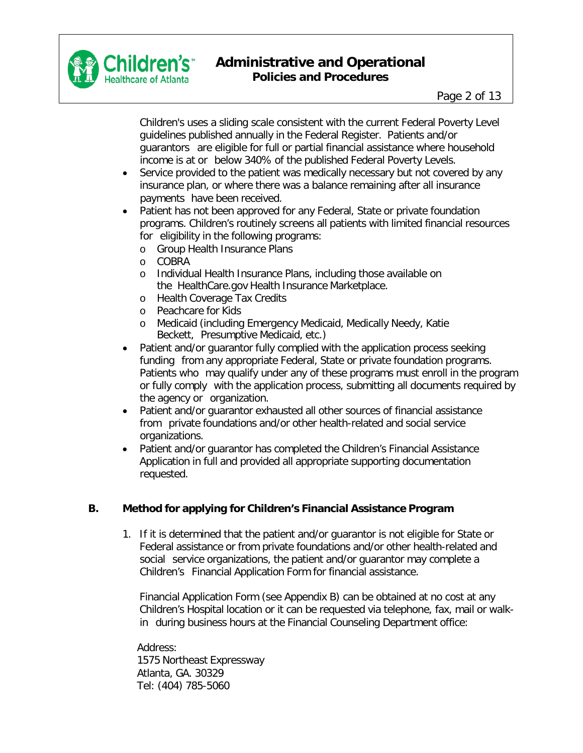

Children's uses a sliding scale consistent with the current Federal Poverty Level guidelines published annually in the Federal Register. Patients and/or guarantors are eligible for full or partial financial assistance where household income is at or below 340% of the published Federal Poverty Levels.

- Service provided to the patient was medically necessary but not covered by any insurance plan, or where there was a balance remaining after all insurance payments have been received.
- Patient has not been approved for any Federal, State or private foundation programs. Children's routinely screens all patients with limited financial resources for eligibility in the following programs:
	- o Group Health Insurance Plans
	- o COBRA
	- o Individual Health Insurance Plans, including those available on the HealthCare.gov Health Insurance Marketplace.
	- o Health Coverage Tax Credits
	- o Peachcare for Kids
	- o Medicaid (including Emergency Medicaid, Medically Needy, Katie Beckett, Presumptive Medicaid, etc.)
- Patient and/or guarantor fully complied with the application process seeking funding from any appropriate Federal, State or private foundation programs. Patients who may qualify under any of these programs must enroll in the program or fully comply with the application process, submitting all documents required by the agency or organization.
- Patient and/or guarantor exhausted all other sources of financial assistance from private foundations and/or other health-related and social service organizations.
- Patient and/or guarantor has completed the Children's Financial Assistance Application in full and provided all appropriate supporting documentation requested.

#### **B. Method for applying for Children's Financial Assistance Program**

1. If it is determined that the patient and/or guarantor is not eligible for State or Federal assistance or from private foundations and/or other health-related and social service organizations, the patient and/or guarantor may complete a Children's Financial Application Form for financial assistance.

Financial Application Form (see Appendix B) can be obtained at no cost at any Children's Hospital location or it can be requested via telephone, fax, mail or walkin during business hours at the Financial Counseling Department office:

Address: 1575 Northeast Expressway Atlanta, GA. 30329 Tel: (404) 785-5060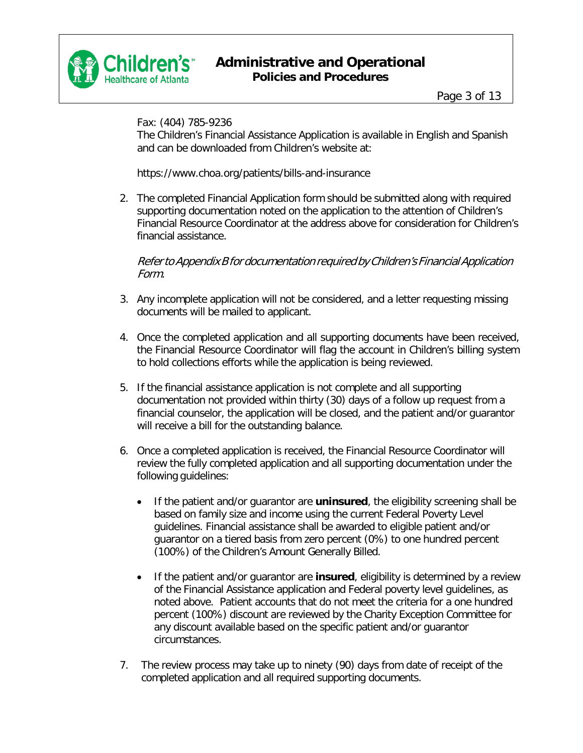

Fax: (404) 785-9236

The Children's Financial Assistance Application is available in English and Spanish and can be downloaded from Children's website at:

[https://www.choa.org/patients/bills-and-insurance](http://www.choa.org/patients/bills-and-insurance)

2. The completed Financial Application form should be submitted along with required supporting documentation noted on the application to the attention of Children's Financial Resource Coordinator at the address above for consideration for Children's financial assistance.

Referto Appendix B for documentation required by Children's Financial Application Form.

- 3. Any incomplete application will not be considered, and a letter requesting missing documents will be mailed to applicant.
- 4. Once the completed application and all supporting documents have been received, the Financial Resource Coordinator will flag the account in Children's billing system to hold collections efforts while the application is being reviewed.
- 5. If the financial assistance application is not complete and all supporting documentation not provided within thirty (30) days of a follow up request from a financial counselor, the application will be closed, and the patient and/or guarantor will receive a bill for the outstanding balance.
- 6. Once a completed application is received, the Financial Resource Coordinator will review the fully completed application and all supporting documentation under the following guidelines:
	- If the patient and/or guarantor are **uninsured**, the eligibility screening shall be based on family size and income using the current Federal Poverty Level guidelines. Financial assistance shall be awarded to eligible patient and/or guarantor on a tiered basis from zero percent (0%) to one hundred percent (100%) of the Children's Amount Generally Billed.
	- If the patient and/or guarantor are **insured**, eligibility is determined by a review of the Financial Assistance application and Federal poverty level guidelines, as noted above. Patient accounts that do not meet the criteria for a one hundred percent (100%) discount are reviewed by the Charity Exception Committee for any discount available based on the specific patient and/or guarantor circumstances.
- 7. The review process may take up to ninety (90) days from date of receipt of the completed application and all required supporting documents.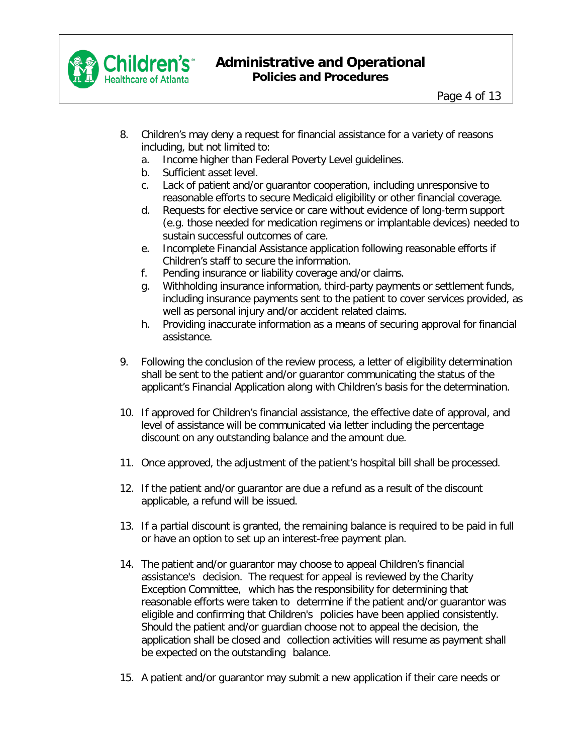

- 8. Children's may deny a request for financial assistance for a variety of reasons including, but not limited to:
	- a. Income higher than Federal Poverty Level guidelines.
	- b. Sufficient asset level.
	- c. Lack of patient and/or guarantor cooperation, including unresponsive to reasonable efforts to secure Medicaid eligibility or other financial coverage.
	- d. Requests for elective service or care without evidence of long-term support (e.g. those needed for medication regimens or implantable devices) needed to sustain successful outcomes of care.
	- e. Incomplete Financial Assistance application following reasonable efforts if Children's staff to secure the information.
	- f. Pending insurance or liability coverage and/or claims.
	- g. Withholding insurance information, third-party payments or settlement funds, including insurance payments sent to the patient to cover services provided, as well as personal injury and/or accident related claims.
	- h. Providing inaccurate information as a means of securing approval for financial assistance.
- 9. Following the conclusion of the review process, a letter of eligibility determination shall be sent to the patient and/or guarantor communicating the status of the applicant's Financial Application along with Children's basis for the determination.
- 10. If approved for Children's financial assistance, the effective date of approval, and level of assistance will be communicated via letter including the percentage discount on any outstanding balance and the amount due.
- 11. Once approved, the adjustment of the patient's hospital bill shall be processed.
- 12. If the patient and/or guarantor are due a refund as a result of the discount applicable, a refund will be issued.
- 13. If a partial discount is granted, the remaining balance is required to be paid in full or have an option to set up an interest-free payment plan.
- 14. The patient and/or guarantor may choose to appeal Children's financial assistance's decision. The request for appeal is reviewed by the Charity Exception Committee, which has the responsibility for determining that reasonable efforts were taken to determine if the patient and/or guarantor was eligible and confirming that Children's policies have been applied consistently. Should the patient and/or guardian choose not to appeal the decision, the application shall be closed and collection activities will resume as payment shall be expected on the outstanding balance.
- 15. A patient and/or guarantor may submit a new application if their care needs or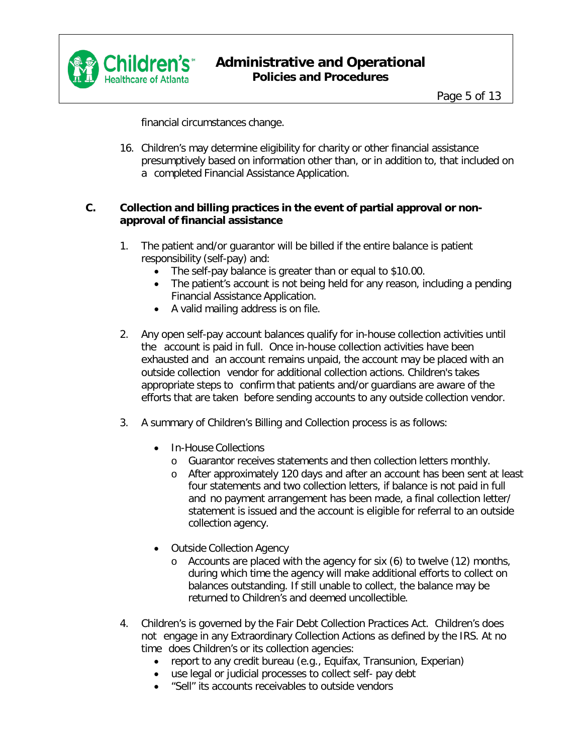

financial circumstances change.

16. Children's may determine eligibility for charity or other financial assistance presumptively based on information other than, or in addition to, that included on a completed Financial Assistance Application.

#### **C. Collection and billing practices in the event of partial approval or nonapproval of financial assistance**

- 1. The patient and/or guarantor will be billed if the entire balance is patient responsibility (self-pay) and:
	- The self-pay balance is greater than or equal to \$10.00.
	- The patient's account is not being held for any reason, including a pending Financial Assistance Application.
	- A valid mailing address is on file.
- 2. Any open self-pay account balances qualify for in-house collection activities until the account is paid in full. Once in-house collection activities have been exhausted and an account remains unpaid, the account may be placed with an outside collection vendor for additional collection actions. Children's takes appropriate steps to confirm that patients and/or guardians are aware of the efforts that are taken before sending accounts to any outside collection vendor.
- 3. A summary of Children's Billing and Collection process is as follows:
	- In-House Collections
		- o Guarantor receives statements and then collection letters monthly.
		- o After approximately 120 days and after an account has been sent at least four statements and two collection letters, if balance is not paid in full and no payment arrangement has been made, a final collection letter/ statement is issued and the account is eligible for referral to an outside collection agency.
	- Outside Collection Agency
		- o Accounts are placed with the agency for six (6) to twelve (12) months, during which time the agency will make additional efforts to collect on balances outstanding. If still unable to collect, the balance may be returned to Children's and deemed uncollectible.
- 4. Children's is governed by the Fair Debt Collection Practices Act. Children's does not engage in any Extraordinary Collection Actions as defined by the IRS. At no time does Children's or its collection agencies:
	- report to any credit bureau (e.g., Equifax, Transunion, Experian)
	- use legal or judicial processes to collect self- pay debt
	- "Sell" its accounts receivables to outside vendors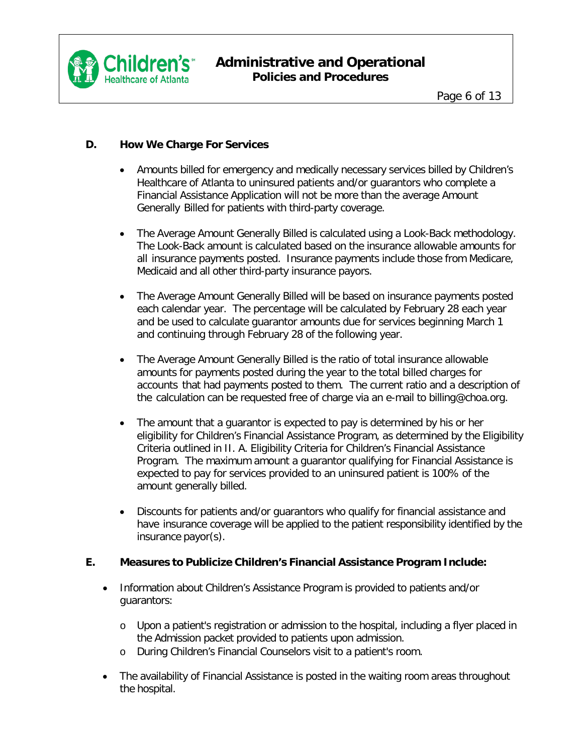

### **D. How We Charge For Services**

- Amounts billed for emergency and medically necessary services billed by Children's Healthcare of Atlanta to uninsured patients and/or guarantors who complete a Financial Assistance Application will not be more than the average Amount Generally Billed for patients with third-party coverage.
- The Average Amount Generally Billed is calculated using a Look-Back methodology. The Look-Back amount is calculated based on the insurance allowable amounts for all insurance payments posted. Insurance payments include those from Medicare, Medicaid and all other third-party insurance payors.
- The Average Amount Generally Billed will be based on insurance payments posted each calendar year. The percentage will be calculated by February 28 each year and be used to calculate guarantor amounts due for services beginning March 1 and continuing through February 28 of the following year.
- The Average Amount Generally Billed is the ratio of total insurance allowable amounts for payments posted during the year to the total billed charges for accounts that had payments posted to them. The current ratio and a description of the calculation can be requested free of charge via an e-mail to [billing@choa.org.](mailto:billing@choa.org)
- The amount that a guarantor is expected to pay is determined by his or her eligibility for Children's Financial Assistance Program, as determined by the Eligibility Criteria outlined in II. A. Eligibility Criteria for Children's Financial Assistance Program. The maximum amount a guarantor qualifying for Financial Assistance is expected to pay for services provided to an uninsured patient is 100% of the amount generally billed.
- Discounts for patients and/or guarantors who qualify for financial assistance and have insurance coverage will be applied to the patient responsibility identified by the insurance payor(s).

#### **E. Measures to Publicize Children's Financial Assistance Program Include:**

- Information about Children's Assistance Program is provided to patients and/or guarantors:
	- o Upon a patient's registration or admission to the hospital, including a flyer placed in the Admission packet provided to patients upon admission.
	- o During Children's Financial Counselors visit to a patient's room.
- The availability of Financial Assistance is posted in the waiting room areas throughout the hospital.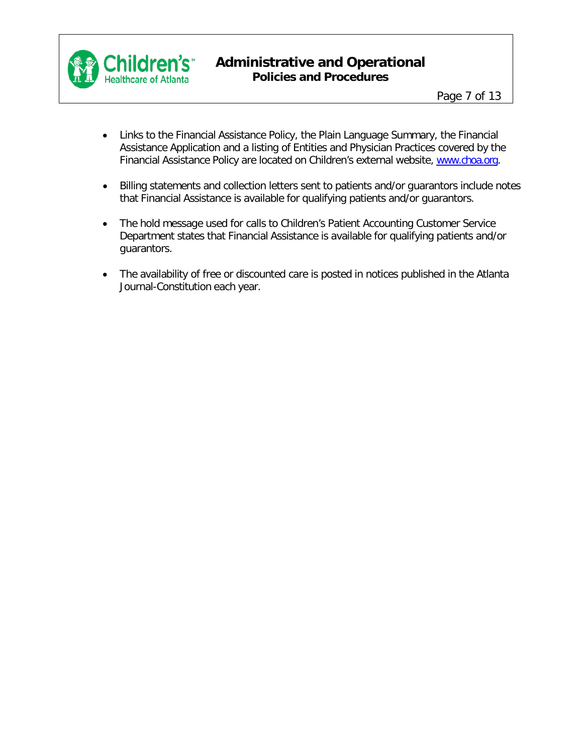

- Links to the Financial Assistance Policy, the Plain Language Summary, the Financial Assistance Application and a listing of Entities and Physician Practices covered by the Financial Assistance Policy are located on Children's external website, [www.choa.org.](http://www.choa.org/)
- Billing statements and collection letters sent to patients and/or guarantors include notes that Financial Assistance is available for qualifying patients and/or guarantors.
- The hold message used for calls to Children's Patient Accounting Customer Service Department states that Financial Assistance is available for qualifying patients and/or guarantors.
- The availability of free or discounted care is posted in notices published in the Atlanta Journal-Constitution each year.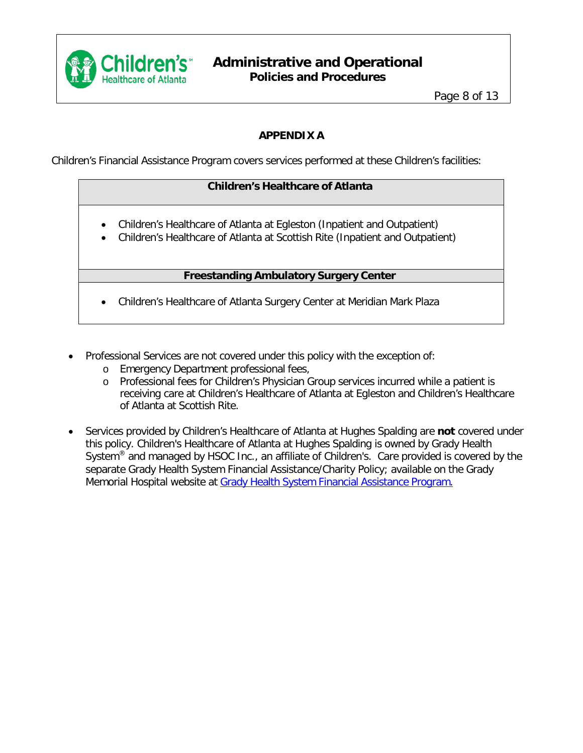

### **APPENDIX A**

Children's Financial Assistance Program covers services performed at these Children's facilities:

### **Children's Healthcare of Atlanta**

- Children's Healthcare of Atlanta at Egleston (Inpatient and Outpatient)
- Children's Healthcare of Atlanta at Scottish Rite (Inpatient and Outpatient)

#### **Freestanding Ambulatory Surgery Center**

- Children's Healthcare of Atlanta Surgery Center at Meridian Mark Plaza
- Professional Services are not covered under this policy with the exception of:
	- o Emergency Department professional fees,
	- o Professional fees for Children's Physician Group services incurred while a patient is receiving care at Children's Healthcare of Atlanta at Egleston and Children's Healthcare of Atlanta at Scottish Rite.
- Services provided by Children's Healthcare of Atlanta at Hughes Spalding are **not** covered under this policy. Children's Healthcare of Atlanta at Hughes Spalding is owned by Grady Health System<sup>®</sup> and managed by HSOC Inc., an affiliate of Children's. Care provided is covered by the separate Grady Health System Financial Assistance/Charity Policy; available on the Grady Memorial Hospital website at Grady Health System Financial [Assistance](https://www.gradyhealth.org/wp-content/uploads/2018/04/Financial-Assistance-Program-Policy.pdf) Program.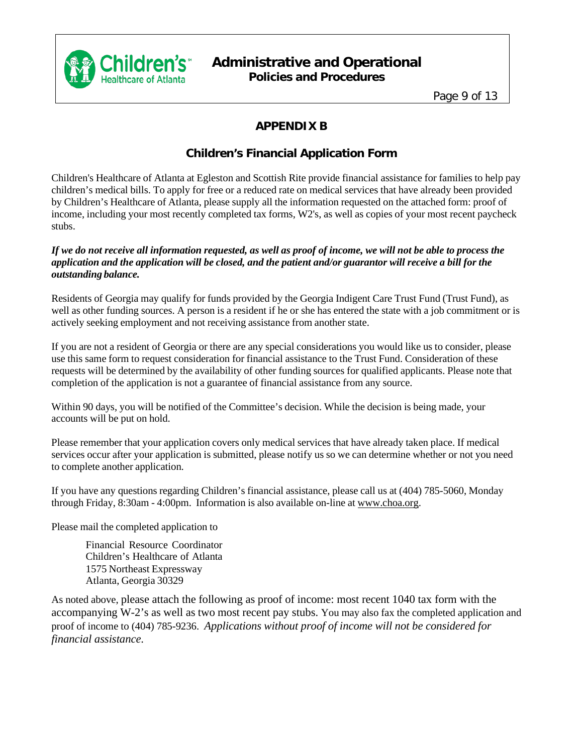

Page 9 of 13

# **APPENDIX B**

## **Children's Financial Application Form**

Children's Healthcare of Atlanta at Egleston and Scottish Rite provide financial assistance for families to help pay children's medical bills. To apply for free or a reduced rate on medical services that have already been provided by Children's Healthcare of Atlanta, please supply all the information requested on the attached form: proof of income, including your most recently completed tax forms, W2's, as well as copies of your most recent paycheck stubs.

#### If we do not receive all information requested, as well as proof of income, we will not be able to process the application and the application will be closed, and the patient and/or guarantor will receive a bill for the *outstanding balance.*

Residents of Georgia may qualify for funds provided by the Georgia Indigent Care Trust Fund (Trust Fund), as well as other funding sources. A person is a resident if he or she has entered the state with a job commitment or is actively seeking employment and not receiving assistance from another state.

If you are not a resident of Georgia or there are any special considerations you would like us to consider, please use this same form to request consideration for financial assistance to the Trust Fund. Consideration of these requests will be determined by the availability of other funding sources for qualified applicants. Please note that completion of the application is not a guarantee of financial assistance from any source.

Within 90 days, you will be notified of the Committee's decision. While the decision is being made, your accounts will be put on hold.

Please remember that your application covers only medical services that have already taken place. If medical services occur after your application is submitted, please notify us so we can determine whether or not you need to complete another application.

If you have any questions regarding Children's financial assistance, please call us at (404) 785-5060, Monday through Friday, 8:30am - 4:00pm. Information is also available on-line at [www.choa.org.](http://www.choa.org/)

Please mail the completed application to

Financial Resource Coordinator Children's Healthcare of Atlanta 1575 Northeast Expressway Atlanta, Georgia 30329

As noted above, please attach the following as proof of income: most recent 1040 tax form with the accompanying W-2's as well as two most recent pay stubs. You may also fax the completed application and proof of income to (404) 785-9236. *Applications without proof of income will not be considered for financial assistance*.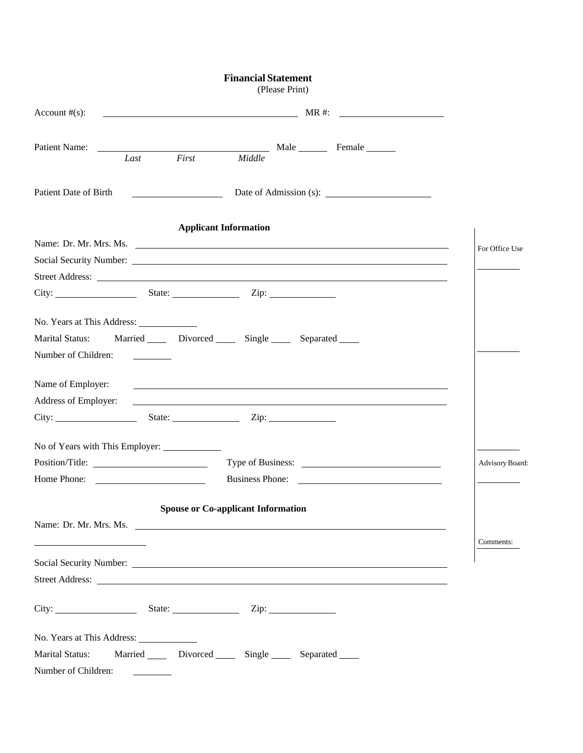|                                                                 | <b>Financial Statement</b><br>(Please Print)                                                                                                                                                                                         |                        |
|-----------------------------------------------------------------|--------------------------------------------------------------------------------------------------------------------------------------------------------------------------------------------------------------------------------------|------------------------|
| Account $#(s)$ :                                                |                                                                                                                                                                                                                                      |                        |
| Patient Name:                                                   | Last First Middle Male Female Last                                                                                                                                                                                                   |                        |
| Patient Date of Birth                                           |                                                                                                                                                                                                                                      |                        |
|                                                                 | <b>Applicant Information</b>                                                                                                                                                                                                         |                        |
|                                                                 | Name: Dr. Mr. Mrs. Ms.                                                                                                                                                                                                               | For Office Use         |
|                                                                 |                                                                                                                                                                                                                                      |                        |
|                                                                 | Street Address: <u>the contract of the contract of the contract of the contract of the contract of the contract of the contract of the contract of the contract of the contract of the contract of the contract of the contract </u> |                        |
|                                                                 |                                                                                                                                                                                                                                      |                        |
|                                                                 |                                                                                                                                                                                                                                      |                        |
| <b>Marital Status:</b>                                          | Married Divorced Single Separated                                                                                                                                                                                                    |                        |
| Number of Children:                                             |                                                                                                                                                                                                                                      |                        |
| Name of Employer:                                               | <u> 1990 - Jan Alexandro III, martxoar ar c'hoarier ar marv ar marv ar marv ar marv ar marv ar marv ar marv ar m</u>                                                                                                                 |                        |
| Address of Employer:                                            | <u> 1999 - Johann John Stone, meilich and der Stone (1999) - der Stone (1999) - der Stone (1999) - der Stone (19</u>                                                                                                                 |                        |
|                                                                 |                                                                                                                                                                                                                                      |                        |
|                                                                 |                                                                                                                                                                                                                                      |                        |
|                                                                 | Type of Business:                                                                                                                                                                                                                    | <b>Advisory Board:</b> |
| Home Phone:<br><u> Listen van die Stad van die Stad van die</u> |                                                                                                                                                                                                                                      |                        |
|                                                                 | <b>Spouse or Co-applicant Information</b>                                                                                                                                                                                            |                        |
|                                                                 | Name: Dr. Mr. Mrs. Ms.                                                                                                                                                                                                               |                        |
|                                                                 |                                                                                                                                                                                                                                      | Comments:              |
|                                                                 |                                                                                                                                                                                                                                      |                        |
|                                                                 |                                                                                                                                                                                                                                      |                        |
|                                                                 |                                                                                                                                                                                                                                      |                        |
|                                                                 |                                                                                                                                                                                                                                      |                        |
| Marital Status:                                                 | Married ______ Divorced _______ Single _______ Separated _____                                                                                                                                                                       |                        |
| Number of Children:                                             |                                                                                                                                                                                                                                      |                        |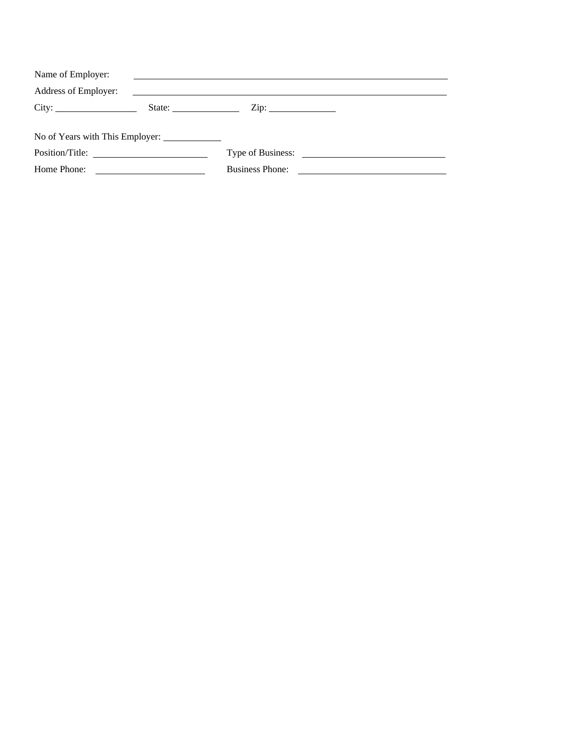| Name of Employer:               |                                                                                                                      |  |
|---------------------------------|----------------------------------------------------------------------------------------------------------------------|--|
| Address of Employer:            | <u> 1989 - Jan Sterlinger, skriuwer fan it ferstjer fan it ferstjer fan it ferstjer fan it ferstjer fan it ferst</u> |  |
| City:                           | $\mathsf{Zip:}\n \qquad \qquad \qquad \qquad$                                                                        |  |
|                                 |                                                                                                                      |  |
| No of Years with This Employer: |                                                                                                                      |  |
| Position/Title:                 |                                                                                                                      |  |
| Home Phone:                     | <b>Business Phone:</b>                                                                                               |  |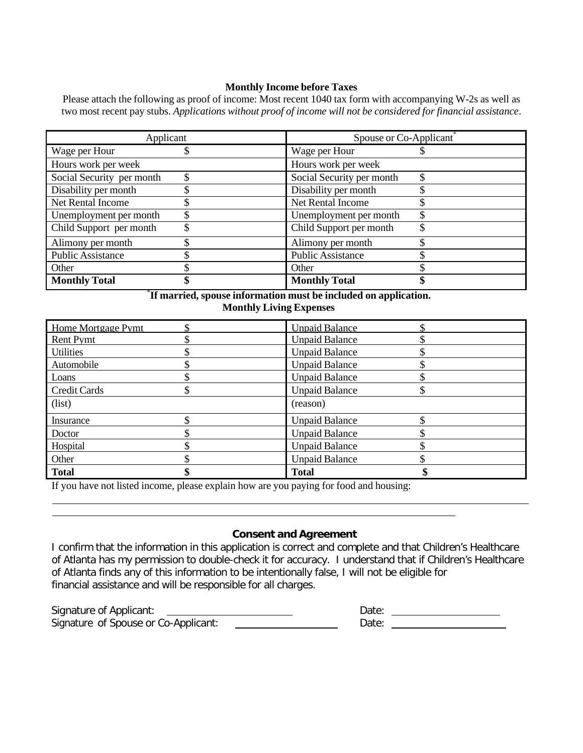#### **Monthly Income before Taxes**

Please attach the following as proof of income: Most recent 1040 tax form with accompanying W-2s as well as two most recent pay stubs. *Applications without proof of income will not be considered for financial assistance*.

| Applicant                 | Spouse or Co-Applicant    |
|---------------------------|---------------------------|
| Wage per Hour             | Wage per Hour             |
| Hours work per week       | Hours work per week       |
| Social Security per month | Social Security per month |
| Disability per month      | Disability per month      |
| Net Rental Income         | Net Rental Income         |
| Unemployment per month    | Unemployment per month    |
| Child Support per month   | Child Support per month   |
| Alimony per month         | Alimony per month         |
| <b>Public Assistance</b>  | <b>Public Assistance</b>  |
| Other                     | Other                     |
| <b>Monthly Total</b>      | <b>Monthly Total</b>      |

\* **If married, spouse information must be included on application. Monthly Living Expenses**

| Home Mortgage Pymt  | <b>Unpaid Balance</b> |  |
|---------------------|-----------------------|--|
| <b>Rent Pymt</b>    | <b>Unpaid Balance</b> |  |
| <b>Utilities</b>    | <b>Unpaid Balance</b> |  |
| Automobile          | <b>Unpaid Balance</b> |  |
| Loans               | <b>Unpaid Balance</b> |  |
| <b>Credit Cards</b> | <b>Unpaid Balance</b> |  |
| (list)              | (reason)              |  |
| Insurance           | <b>Unpaid Balance</b> |  |
| Doctor              | <b>Unpaid Balance</b> |  |
| Hospital            | <b>Unpaid Balance</b> |  |
| Other               | <b>Unpaid Balance</b> |  |
| <b>Total</b>        | <b>Total</b>          |  |

If you have not listed income, please explain how are you paying for food and housing:

#### **Consent and Agreement**

I confirm that the information in this application is correct and complete and that Children's Healthcare of Atlanta has my permission to double-check it for accuracy. I understand that if Children's Healthcare of Atlanta finds any of this information to be intentionally false, I will not be eligible for financial assistance and will be responsible for all charges.

Signature of Applicant: <u> 1980 - Johann Barnett, fransk konge</u> Signature of Spouse or Co-Applicant:

| Date: |  |
|-------|--|
| Date: |  |